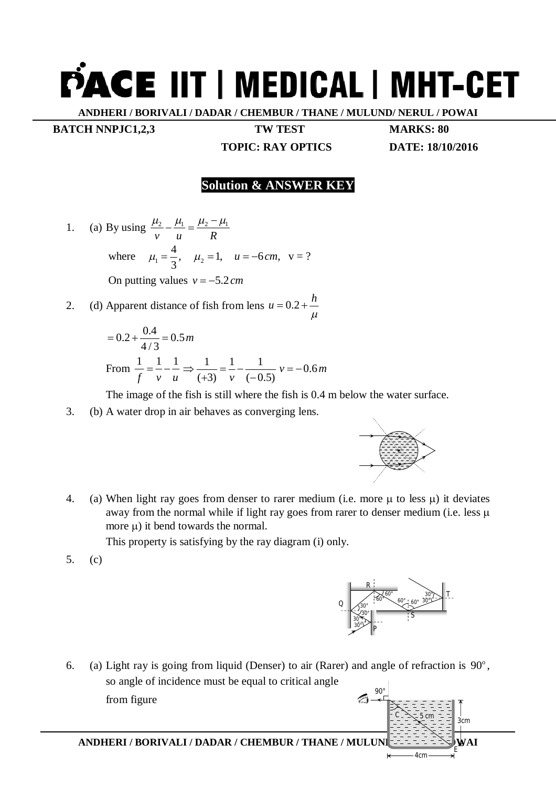## **PACE IIT | MEDICAL | MHT-CET**

**ANDHERI / BORIVALI / DADAR / CHEMBUR / THANE / MULUND/ NERUL / POWAI**

**BATCH NNPJC1,2,3 TW TEST MARKS: 80** 

**TOPIC: RAY OPTICS DATE: 18/10/2016**

## **Solution & ANSWER KEY**

- 1. (a) By using  $\frac{\mu_2}{\mu_1} \frac{\mu_1}{\mu_2} = \frac{\mu_2 \mu_1}{\mu_2}$ *v u R* where  $\mu_1 = \frac{4}{3}$ ,  $\mu_1 = \frac{1}{3}, \quad \mu_2 = 1, \quad u = -6 \, \text{cm}, \quad v = ?$ On putting values  $v = -5.2$  cm
- 2. (d) Apparent distance of fish from lens  $u = 0.2$  $\mu$  $u = 0.2 + \frac{h}{h}$

$$
= 0.2 + \frac{0.4}{4/3} = 0.5 m
$$
  
From  $\frac{1}{f} = \frac{1}{v} - \frac{1}{u} \Rightarrow \frac{1}{(+3)} = \frac{1}{v} - \frac{1}{(-0.5)} v = -0.6 m$ 

The image of the fish is still where the fish is 0.4 m below the water surface.

3. (b) A water drop in air behaves as converging lens.



4. (a) When light ray goes from denser to rarer medium (i.e. more  $\mu$  to less  $\mu$ ) it deviates away from the normal while if light ray goes from rarer to denser medium (i.e. less  $\mu$ more  $\mu$ ) it bend towards the normal.

This property is satisfying by the ray diagram (i) only.

5. (c)



3*cm*

*E*

4*cm*

 $C = \searrow -5 cm$ 

6. (a) Light ray is going from liquid (Denser) to air (Rarer) and angle of refraction is  $90^\circ$ , so angle of incidence must be equal to critical angle from figure  $9<sub>0</sub>$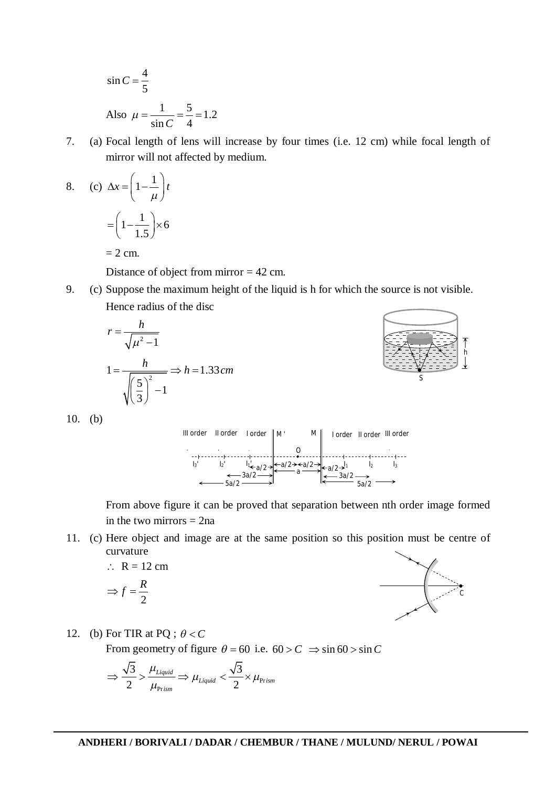$$
\sin C = \frac{4}{5}
$$
  
Also  $\mu = \frac{1}{\sin C} = \frac{5}{4} = 1.2$ 

7. (a) Focal length of lens will increase by four times (i.e. 12 cm) while focal length of mirror will not affected by medium.

8. (c) 
$$
\Delta x = \left(1 - \frac{1}{\mu}\right)t
$$
  
=  $\left(1 - \frac{1}{1.5}\right) \times 6$ 

 $= 2$  cm.

Distance of object from mirror = 42 cm.

9. (c) Suppose the maximum height of the liquid is h for which the source is not visible. Hence radius of the disc

$$
r = \frac{h}{\sqrt{\mu^2 - 1}}
$$
  

$$
1 = \frac{h}{\sqrt{\left(\frac{5}{3}\right)^2 - 1}} \Rightarrow h = 1.33 \text{ cm}
$$



10. (b)



From above figure it can be proved that separation between nth order image formed in the two mirrors  $= 2na$ 

11. (c) Here object and image are at the same position so this position must be centre of curvature

$$
\therefore R = 12 \text{ cm}
$$
  

$$
\Rightarrow f = R
$$

$$
\Rightarrow f = \frac{R}{2}
$$



12. (b) For TIR at PQ ;  $\theta < C$ 

From geometry of figure  $\theta = 60$  i.e.  $60 > C \implies \sin 60 > \sin C$ 

$$
\Rightarrow \frac{\sqrt{3}}{2} > \frac{\mu_{Liquid}}{\mu_{\text{Prism}}} \Rightarrow \mu_{Liquid} < \frac{\sqrt{3}}{2} \times \mu_{\text{Prism}}
$$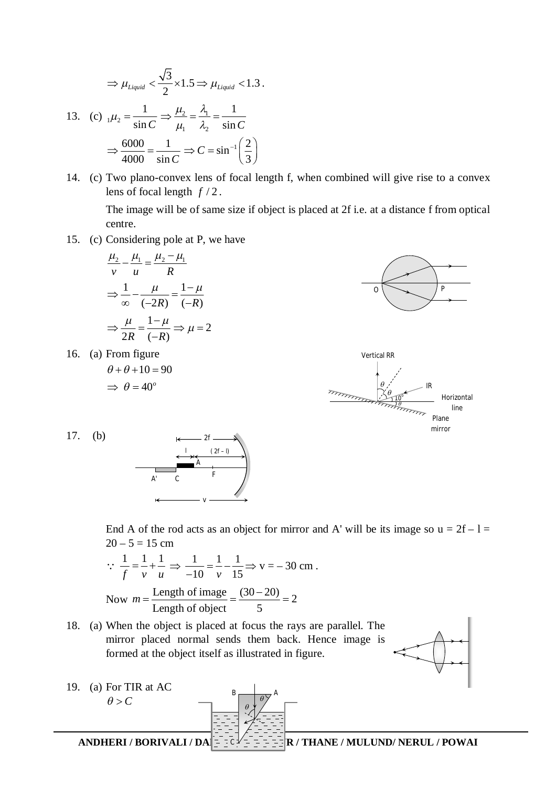$$
\Rightarrow \mu_{\text{Liquid}} < \frac{\sqrt{3}}{2} \times 1.5 \Rightarrow \mu_{\text{Liquid}} < 1.3 \,.
$$
\n
$$
\text{13. (c) } \mu_2 = \frac{1}{\sin C} \Rightarrow \frac{\mu_2}{\mu_1} = \frac{\lambda_1}{\lambda_2} = \frac{1}{\sin C}
$$
\n
$$
\Rightarrow \frac{6000}{4000} = \frac{1}{\sin C} \Rightarrow C = \sin^{-1}\left(\frac{2}{3}\right)
$$

14. (c) Two plano-convex lens of focal length f, when combined will give rise to a convex lens of focal length  $f/2$ .

The image will be of same size if object is placed at 2f i.e. at a distance f from optical centre.

15. (c) Considering pole at P, we have

$$
\frac{\mu_2}{\nu} - \frac{\mu_1}{\mu} = \frac{\mu_2 - \mu_1}{R}
$$

$$
\Rightarrow \frac{1}{\infty} - \frac{\mu}{(-2R)} = \frac{1 - \mu}{(-R)}
$$

$$
\Rightarrow \frac{\mu}{2R} = \frac{1 - \mu}{(-R)} \Rightarrow \mu = 2
$$

16. (a) From figure  $\theta + \theta + 10 = 90$ 

$$
\implies \theta = 40^{\circ}
$$







End A of the rod acts as an object for mirror and A' will be its image so  $u = 2f - 1 =$  $20 - 5 = 15$  cm

$$
\therefore \frac{1}{f} = \frac{1}{v} + \frac{1}{u} \implies \frac{1}{-10} = \frac{1}{v} - \frac{1}{15} \implies v = -30 \text{ cm}.
$$
  
Now  $m = \frac{\text{Length of image}}{\text{Length of object}} = \frac{(30-20)}{5} = 2$ 

18. (a) When the object is placed at focus the rays are parallel. The mirror placed normal sends them back. Hence image is formed at the object itself as illustrated in figure.



**ANDHERI / BORIVALI / DA** $\vert - \frac{1}{2}c \vert = -\frac{1}{2}R$  **/ THANE / MULUND/ NERUL / POWAI** 19. (a) For TIR at AC  $\theta > C$  $B \longrightarrow A$  $\theta$ *C*  $\theta$